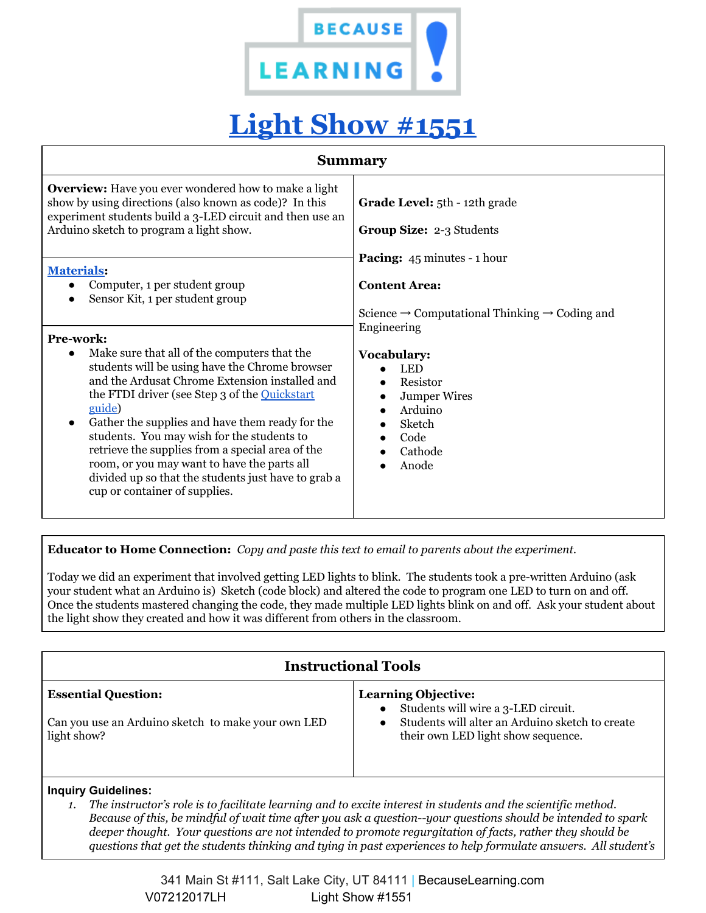

# **[Light Show #1551](https://ehub.ardusat.com/experiments/1551)**

| <b>Summary</b>                                                                                                                                                                                                                                                                                                                                                                                                                                                                                                                                                                                                                                       |                                                                                                                                                                                                                                                                     |
|------------------------------------------------------------------------------------------------------------------------------------------------------------------------------------------------------------------------------------------------------------------------------------------------------------------------------------------------------------------------------------------------------------------------------------------------------------------------------------------------------------------------------------------------------------------------------------------------------------------------------------------------------|---------------------------------------------------------------------------------------------------------------------------------------------------------------------------------------------------------------------------------------------------------------------|
| <b>Overview:</b> Have you ever wondered how to make a light<br>show by using directions (also known as code)? In this<br>experiment students build a 3-LED circuit and then use an<br>Arduino sketch to program a light show.                                                                                                                                                                                                                                                                                                                                                                                                                        | Grade Level: 5th - 12th grade<br><b>Group Size: 2-3 Students</b>                                                                                                                                                                                                    |
| <b>Materials:</b><br>Computer, 1 per student group<br>$\bullet$<br>Sensor Kit, 1 per student group<br>Pre-work:<br>Make sure that all of the computers that the<br>$\bullet$<br>students will be using have the Chrome browser<br>and the Ardusat Chrome Extension installed and<br>the FTDI driver (see Step 3 of the Quickstart<br>guide)<br>Gather the supplies and have them ready for the<br>$\bullet$<br>students. You may wish for the students to<br>retrieve the supplies from a special area of the<br>room, or you may want to have the parts all<br>divided up so that the students just have to grab a<br>cup or container of supplies. | <b>Pacing:</b> 45 minutes - 1 hour<br><b>Content Area:</b><br>Science $\rightarrow$ Computational Thinking $\rightarrow$ Coding and<br>Engineering<br>Vocabulary:<br><b>LED</b><br>Resistor<br><b>Jumper Wires</b><br>Arduino<br>Sketch<br>Code<br>Cathode<br>Anode |

**Educator to Home Connection:** *Copy and paste this text to email to parents about the experiment.*

Today we did an experiment that involved getting LED lights to blink. The students took a pre-written Arduino (ask your student what an Arduino is) Sketch (code block) and altered the code to program one LED to turn on and off. Once the students mastered changing the code, they made multiple LED lights blink on and off. Ask your student about the light show they created and how it was different from others in the classroom.

| <b>Instructional Tools</b>                                                                      |                                                                                                                                                                         |
|-------------------------------------------------------------------------------------------------|-------------------------------------------------------------------------------------------------------------------------------------------------------------------------|
| <b>Essential Question:</b><br>Can you use an Arduino sketch to make your own LED<br>light show? | <b>Learning Objective:</b><br>Students will wire a 3-LED circuit.<br>$\bullet$<br>Students will alter an Arduino sketch to create<br>their own LED light show sequence. |

### **Inquiry Guidelines:**

1. The instructor's role is to facilitate learning and to excite interest in students and the scientific method. Because of this, be mindful of wait time after you ask a question--your questions should be intended to spark *deeper thought. Your questions are not intended to promote regurgitation of facts, rather they should be* questions that get the students thinking and tying in past experiences to help formulate answers. All student's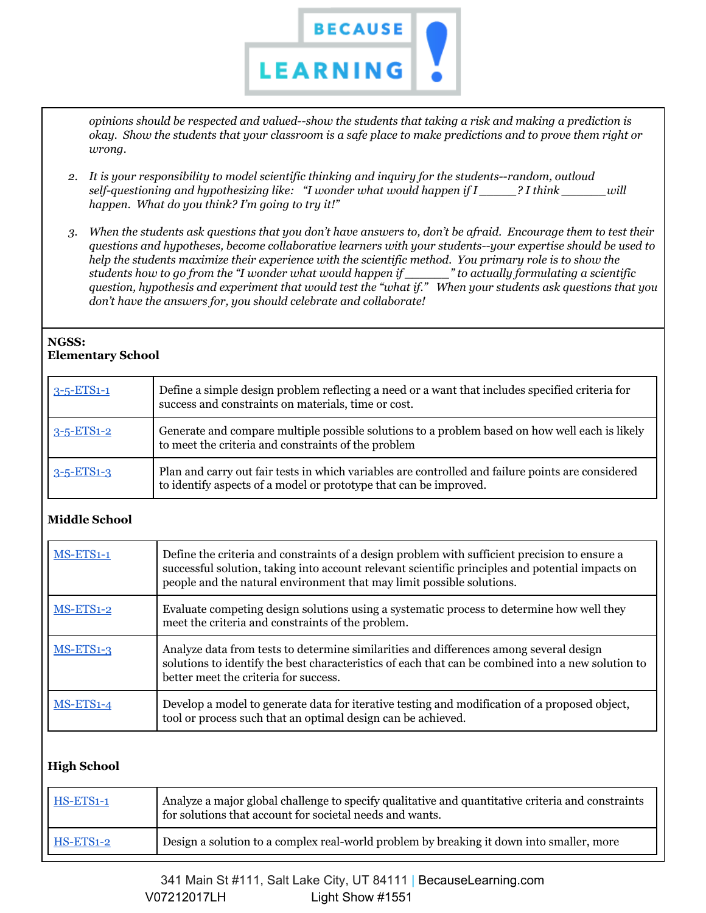

*opinions should be respected and valued--show the students that taking a risk and making a prediction is* okay. Show the students that your classroom is a safe place to make predictions and to prove them right or *wrong.*

- *2. It is your responsibility to model scientific thinking and inquiry for the students--random, outloud self-questioning and hypothesizing like: "I wonder what would happen if I \_\_\_\_\_? I think \_\_\_\_\_\_will happen. What do you think? I'm going to try it!"*
- 3. When the students ask questions that you don't have answers to, don't be afraid. Encourage them to test their *questions and hypotheses, become collaborative learners with your students--your expertise should be used to help the students maximize their experience with the scientific method. You primary role is to show the* students how to go from the "I wonder what would happen if \_\_\_\_\_\_\_" to actually formulating a scientific question, hypothesis and experiment that would test the "what if." When your students ask questions that you *don't have the answers for, you should celebrate and collaborate!*

#### **NGSS: Elementary School**

| $3 - 5 - ETS1 - 1$ | Define a simple design problem reflecting a need or a want that includes specified criteria for<br>success and constraints on materials, time or cost.                 |
|--------------------|------------------------------------------------------------------------------------------------------------------------------------------------------------------------|
| $3 - 5 - ETS1 - 2$ | Generate and compare multiple possible solutions to a problem based on how well each is likely<br>to meet the criteria and constraints of the problem                  |
| $3 - 5 - ETS1 - 3$ | Plan and carry out fair tests in which variables are controlled and failure points are considered<br>to identify aspects of a model or prototype that can be improved. |

## **Middle School**

| MS-ETS1-1   | Define the criteria and constraints of a design problem with sufficient precision to ensure a<br>successful solution, taking into account relevant scientific principles and potential impacts on<br>people and the natural environment that may limit possible solutions. |
|-------------|----------------------------------------------------------------------------------------------------------------------------------------------------------------------------------------------------------------------------------------------------------------------------|
| MS-ETS1-2   | Evaluate competing design solutions using a systematic process to determine how well they<br>meet the criteria and constraints of the problem.                                                                                                                             |
| $MS-ETS1-3$ | Analyze data from tests to determine similarities and differences among several design<br>solutions to identify the best characteristics of each that can be combined into a new solution to<br>better meet the criteria for success.                                      |
| $MS-ETS1-4$ | Develop a model to generate data for iterative testing and modification of a proposed object,<br>tool or process such that an optimal design can be achieved.                                                                                                              |

## **High School**

| $HS-ETS1-1$ | Analyze a major global challenge to specify qualitative and quantitative criteria and constraints<br>for solutions that account for societal needs and wants. |
|-------------|---------------------------------------------------------------------------------------------------------------------------------------------------------------|
| HS-ETS1-2   | Design a solution to a complex real-world problem by breaking it down into smaller, more                                                                      |